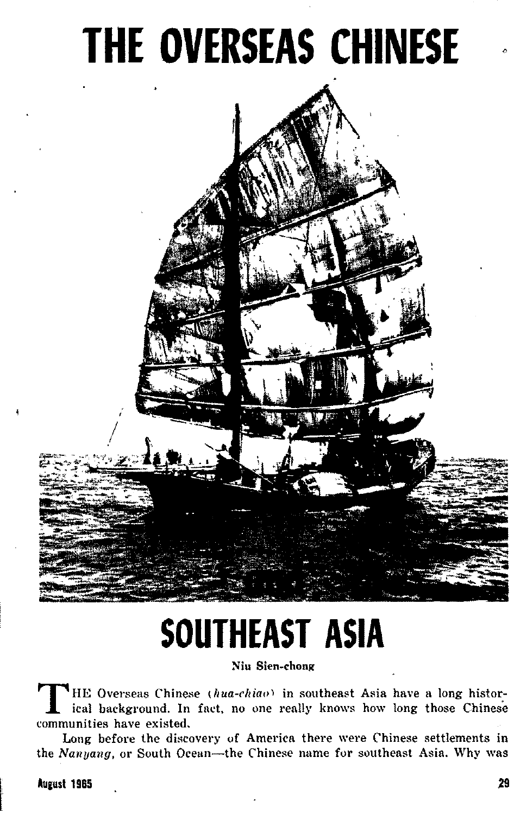

# SOUTHEAST ASIA

Niu Sien-chong

HE Overseas Chinese (hua-chiao) in southeast Asia have a long historical background. In fact, no one really knows how long those Chinese communities have existed.

Long before the discovery of America there were Chinese settlements in the Nanyang, or South Ocean-the Chinese name for southeast Asia. Why was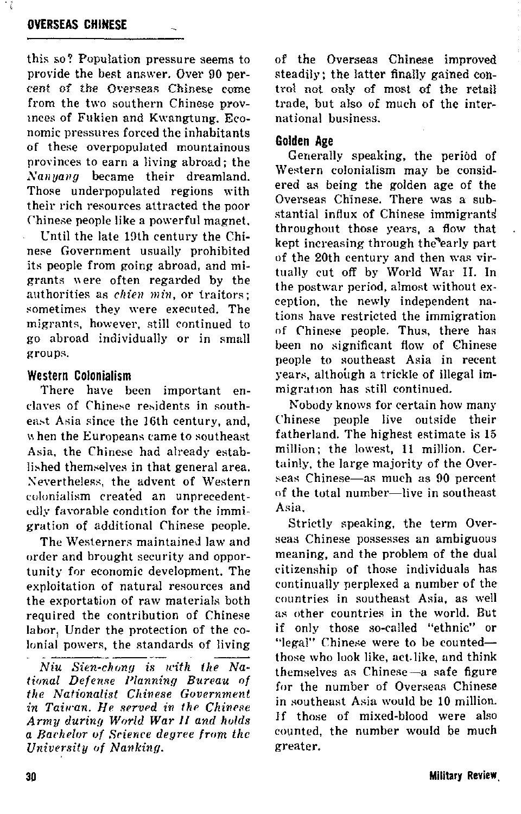## **OVERSEAS CHINESE**

this so? Population pressure seems to provide the best answer. Over 90 percent of the Overseas Chinese come from the two southern Chinese provinces of Fukien and Kwangtung. Economic pressures forced the inhabitants of these overnonulated mountainous provinces to earn a living abroad: the Nanyang became their dreamland. Those underpopulated regions with their rich resources attracted the noor Chinese neonle like a nowerful magnet.

Until the late 19th century the Chinese Government usually prohibited its people from going abroad, and migrants were often regarded by the authorities as *chien min*, or traitors: sometimes they were executed. The migrants, however, still continued to go abroad individually or in small groups.

## **Western Colonialism**

There have been important enclaves of Chinese residents in southeast Asia since the 16th century, and. when the Europeans came to southeast Asia, the Chinese had already established themselves in that general area. Nevertheless, the advent of Western colonialism created an unnrecedentedly favorable condition for the immigration of additional Chinese people.

The Westerners maintained law and order and brought security and opportunity for economic development. The exploitation of natural resources and the exportation of raw materials both required the contribution of Chinese labor. Under the protection of the colonial powers, the standards of living

Niu Sien-chong is with the National Defense Planning Bureau of the Nationalist Chinese Government in Taiwan. He served in the Chinese Army during World War II and holds a Bachelor of Science degree from the University of Nanking.

of the Overseas Chinese improved steadily: the latter finally gained control not only of most of the retail trade, but also of much of the international business

#### Golden Age

Generally speaking, the period of Western colonialism may be considered as being the golden age of the Overseas Chinese. There was a substantial influx of Chinese immigrants throughout those years, a flow that kept increasing through the early part of the 20th century and then was virtually cut off by World War II. In the postwar period, almost without exception, the newly independent nations have restricted the immigration of Chinese people. Thus, there has been no significant flow of Chinese people to southeast Asia in recent vears, although a trickle of illegal immigration has still continued.

Nobody knows for certain how many Chinese people live outside their fatherland. The highest estimate is 15 million: the lowest. 11 million. Certainly, the large majority of the Overseas Chinese-as much as 90 percent of the total number-live in southeast Asia

Strictly speaking, the term Overseas Chinese possesses an ambiguous meaning, and the problem of the dual citizenship of those individuals has continually nerplexed a number of the countries in southeast Asia, as well as other countries in the world. But if only those so-called "ethnic" or "legal" Chinese were to be countedthose who look like, act like, and think themselves as Chinese-a safe figure for the number of Overseas Chinese in southeast Asia would be 10 million. If those of mixed-blood were also counted, the number would be much greater.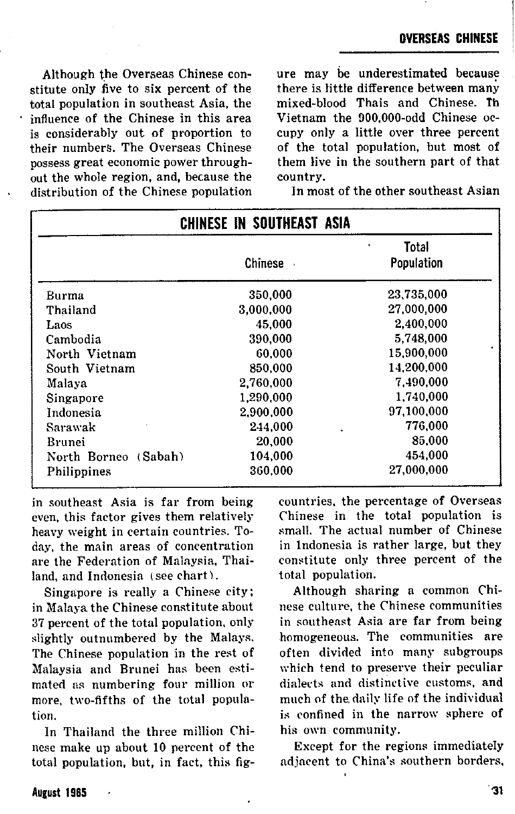stitute only five to six percent of the there is little difference between many total population in southeast Asia, the mixed-blood. Thais and Chinese,  $\hbar$ total population in southeast Asia, the mixed-blood Thais and Chinese. The influence of the Chinese in this area Vietnam the 900,000-odd Chinese ocinfluence of the Chinese in this area<br>is considerably out of proportion to is considerably out of proportion to cupy only a little over three percent their numbers. The Overseas Chinese of the total population, but most of possess great economic power through-<br>out the whole region, and, because the country. out the whole region, and, because the country.<br>distribution of the Chinese population In most of the other southeast Asian distribution of the Chinese population

Although the Overseas Chinese con-<br>
itute only five to six percent of the state of the there is little difference between many of the total population, but most of<br>them live in the southern part of that

| CHINESE IN SOUTHEAST ASIA |           |                     |
|---------------------------|-----------|---------------------|
|                           | Chinese - | Total<br>Population |
| Burma                     | 350.000   | 23.735.000          |
| Thailand                  | 3.000.000 | 27.000.000          |
| Laos                      | 45.000    | 2.400.000           |
| Cambodia                  | 390.000   | 5.748.000           |
| North Vietnam             | 60.000    | 15.900.000          |
| South Vietnam             | 850,000   | 14.200.000          |
| Malaya                    | 2.760.000 | 7.490,000           |
| Singapore                 | 1.290.000 | 1.740.000           |
| Indonesia                 | 2.900,000 | 97.100.000          |
| Sarawak                   | 244,000   | 776,000<br>ä,       |
| Brunei                    | 20,000    | 85,000              |
| North Borneo (Sabah)      | 104.000   | 454,000             |
| Philippines               | 360.000   | 27.000.000          |

in **southeast Asia is far from being**  even, this factor gives them relatively heavy weight in certain countries. Today, the main areas of concentration are the Federation of Malaysia, Thailand, and Indonesia (see chart).

Singapore is really a Chinese city; in Malaya the Chinese constitute about 37 percent of tbe total population, only slightly outnumbered by the Malays. The Chinese population in the rest of Malaysia and Brunei has been estimated as numbering four million or more, two-fifths of the total population.

In Thailand the three million Chinese make up about 10 percent of the total population, but, in fact, this fig**countries, the percentage of Overseas Chinese** in the total population is small. The actual number of Chinese in Indonesia is rather large, but they constitute only three percent of the total population.

Although sharing a common Chinese culture, the Chinese communities in southeast Asia are far from being homogeneous. The communities are often divided into many subgronps which tend to preserve their pecnliar dinlerts uml distinctive customs, and much of the daily life of the individual is confined in the narrow sphere of his own community.

Except for the regions immediately ndjacent to China's southern borders,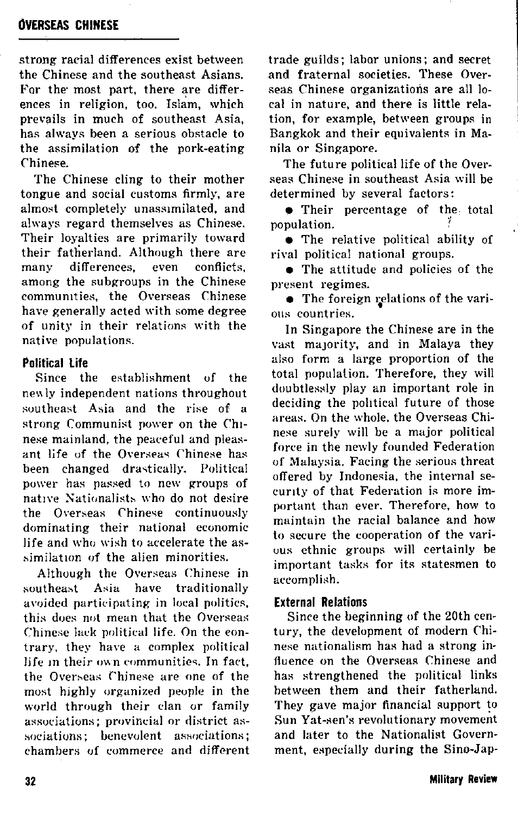## **OVERSEAS CHINESE**

strong racial differences exist between the Chinese and the southeast Asians. For the most part, there are differences in religion, too. Islam, which prevails in much of southeast Asia. has always been a serious obstacle to the assimilation of the pork-eating Chinese.

The Chinese cling to their mother tongue and social customs firmly. are almost completely unassimilated, and always regard themselves as Chinese. Their loyalties are primarily toward their fatherland. Although there are many differences. even conflicts among the subgroups in the Chinese communities, the Overseas Chinese have generally acted with some degree of unity in their relations with the native populations.

#### **Political Life**

Since the establishment of the newly independent nations throughout southeast Asia and the rise of a strong Communist nower on the Chinese mainland, the peaceful and pleasant life of the Overseas Chinese has been changed drastically. Political power has passed to new groups of native Nationalists who do not desire the Overseas Chinese continuously dominating their national economic life and who wish to accelerate the assimilation of the alien minorities.

Although the Overseas Chinese in have traditionally southeast Asia avoided narticipating in local nolitics. this does not mean that the Overseas Chinese lack political life. On the contrary, they have a complex political life in their own communities. In fact, the Overseas Chinese are one of the most highly organized people in the world through their clan or family associations: provincial or district associations: henevolent associations: chambers of commerce and different trade guilds: labor unions; and secret and fraternal societies. These Overseas Chinese organizations are all local in nature, and there is little relation, for example, between groups in Bangkok and their equivalents in Manila or Singapore.

The future political life of the Overseas Chinese in southeast Asia will be determined by several factors:

• Their percentage of the total population.

• The relative political ability of rival political national groups.

• The attitude and policies of the present regimes.

• The foreign relations of the various countries.

In Singapore the Chinese are in the vast majority, and in Malaya they also form a large proportion of the total population. Therefore, they will doubtlessly play an important role in deciding the political future of those areas. On the whole, the Overseas Chinese surely will be a major political force in the newly founded Federation of Malaysia. Facing the serious threat offered by Indonesia, the internal security of that Federation is more important than ever. Therefore, how to maintain the racial balance and how to secure the cooperation of the various ethnic groups will certainly be important tasks for its statesmen to accomplish.

#### **External Relations**

Since the beginning of the 20th century, the development of modern Chinese nationalism has had a strong influence on the Overseas Chinese and has strengthened the political links between them and their fatherland. They gave major financial support to Sun Yat-sen's revolutionary movement and later to the Nationalist Government, especially during the Sino-Jap-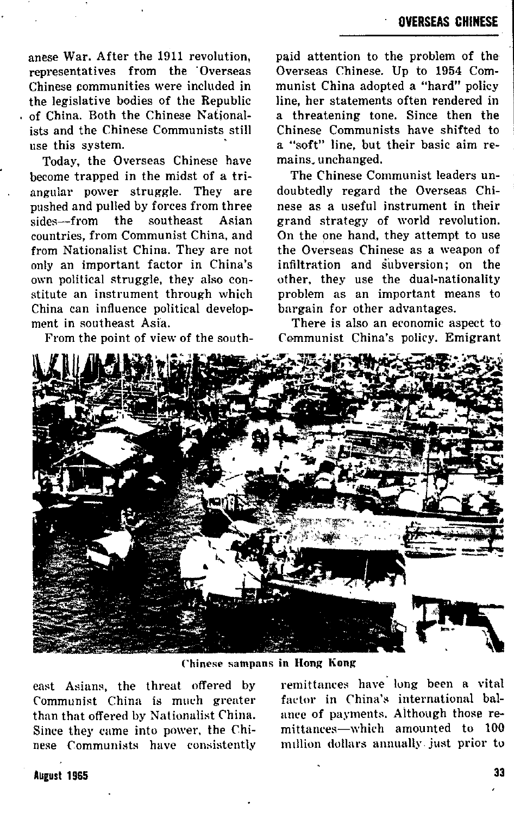anese War. After the 1911 revolution, representatives from the Overseas Chinese communities were included in the legislative bodies of the Republic of China. Both the Chinese Nationalists and the Chinese Communists still use this system.

Today, the Overseas Chinese have become trapped in the midst of a triangular power struggle. They are pushed and pulled by forces from three<br>sides—from the southeast Asian sides—from countries, from Communist China, and from Nationalist China. They are not only an important factor in China's own political struggle, they also constitute an instrument through which China can influence political develop. ment in eoutheast Asia.

From the point of view of the south-

**paid attention to the problem of the**  Overseas Chineee. Up to 1954 Communist China adopted a "hard" policy line, her statements often rendered in a threatening tone. Since then the Chinese Communists have shifted to a "soft" line, but their basic aim remains. unchanged.

The Chinese Communist leaders undoubtedly regard the Overseas Chinese as a useful instrument in their grand strategy of world revolution. On the one hand, they attempt to use the Overseas Chinese as a weapon of infiltration and subversion; on the other, they use the dual-nationality problem as an important means to bargain for other advantages.

There is also an economic aspect to Communist China's policy. Emigrant



Chinese sampans in Hong Kong

Communist China is much greater factor in China's international bal-<br>than that offered by Nationalist China. ance of payments, Although those reeast Asians, the threat offered by than that offered by Nationalist China. ance of payments. Although those re-<br>Since they came into power, the Chi- — mittances—which -amounted -to -100 Since they came into power, the Chi- mittances—which amounted to 100<br>nese Communists, have consistently million dollars annually just prior to nese Communists have consistently

remit tantes have" lung been a vital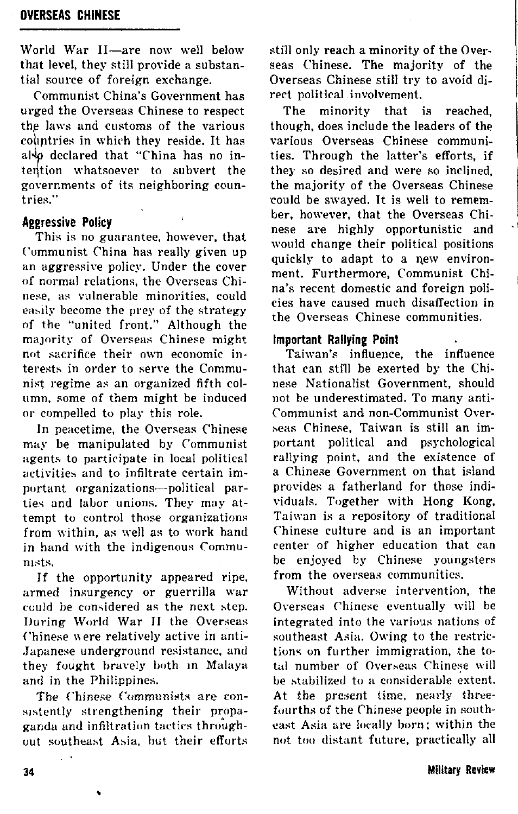World War II—are now well below that level, they still provide a substan. tial source of foreign exchange.

Communist China's Government has urged the Ocerseas Chinese to respect the laws and customs of the various coliptries in which they reside. It has also declared that "China has no intention whatsoever to subvert the governments of its neighboring countries."

#### **Aggressive Policy**

This is no guarantee, however, that ("ummunist China has really given up an aggressive policy. Under the cover of normal relations, the Overseas Chinese, as vulnerable minorities, could easily become the prey of the strategy of the "united front." Although the majority of Overseas Chinese might not sacrifice their own economic interests in order to serve the Communist regime as an organized fifth column. some of them might he induced or compelled to play this role.

In peacetime, the Overseas Chinese may be manipulated by Communist agents to participate in local political activities and to infiltrate certain important organizations---political parties and labor unions. They may attempt to cuntrol those organizations from within, as well as to work hand in hand with the indigenous Communists.

If the opportunity appeared ripe, armed insurgency or guerrilla war could be considered as the next step. During World War 11 the Overseas Chinese were relatively active in anti-Japanese underground resistance, and they fought bravely both In Malaya and in the Philippines.

The Chinese Communists are consistently strengthening their propaganda and infiltration tactics throughout southeast Asia, hut their efforts

�

still only reach a minority of the Overseas Chinese. The majority of the Overseas Chinese still try to avoid direct political involvement.

The minority that is reached, though, does include the leaders of the various Overseas Chinese communities. Through the latter's efforts, if they so desired and were so inclined the majority of the Overseas Chinese could be swayed. It is well to remember, however, that the Overseas Chinese are highly opportunistic and would change their political positions quickly to adapt to a new environment. Furthermore, Communist China's recent domestic and foreign policies have caused much disaffection in the Overseas Chinese communities.

## Important Rallying Point

Taiwan's influence, the influence that can still be exerted by the Chinese Nationalist Government, should not he underestimated. To many anti. Communist and non-Communist Over->eas Chinese, Taiwan is still an important political and psychological rallying point, and the existence of a Chinese Government on that island provides a fatherland for those individuals. Together with Hong Kong, Taiwan is a repository of traditional Chinese culture and is an important center of higher education that can be enjoyed by Chinese youngsters from the overseas communities.

Without adverse intervention, the Overseas Chinese eventually will be integrated into the various nations uf southeast Asia. Owing to the restrictions on further immigration, the total number of Overseas Chinese will be stabilized to a considerable extent. At the present time, nearly threefourths of the Chinese people in southeast Asia are locally born; within the not too distant future, practically all